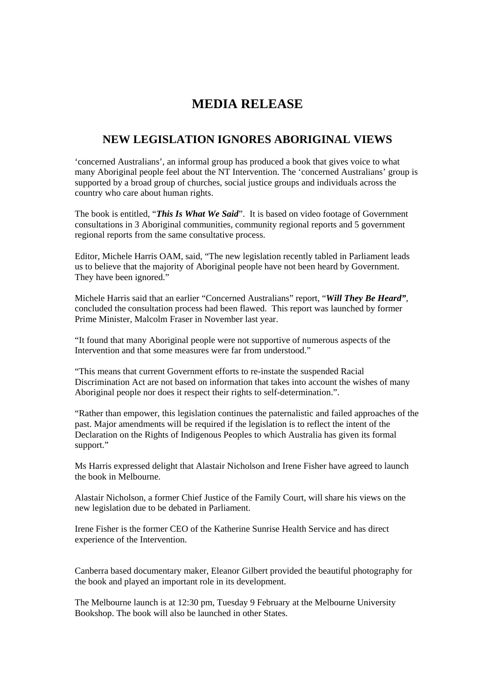## **MEDIA RELEASE**

## **NEW LEGISLATION IGNORES ABORIGINAL VIEWS**

'concerned Australians', an informal group has produced a book that gives voice to what many Aboriginal people feel about the NT Intervention. The 'concerned Australians' group is supported by a broad group of churches, social justice groups and individuals across the country who care about human rights.

The book is entitled, "*This Is What We Said*". It is based on video footage of Government consultations in 3 Aboriginal communities, community regional reports and 5 government regional reports from the same consultative process.

Editor, Michele Harris OAM, said, "The new legislation recently tabled in Parliament leads us to believe that the majority of Aboriginal people have not been heard by Government. They have been ignored."

Michele Harris said that an earlier "Concerned Australians" report, "*Will They Be Heard"*, concluded the consultation process had been flawed. This report was launched by former Prime Minister, Malcolm Fraser in November last year.

"It found that many Aboriginal people were not supportive of numerous aspects of the Intervention and that some measures were far from understood."

"This means that current Government efforts to re-instate the suspended Racial Discrimination Act are not based on information that takes into account the wishes of many Aboriginal people nor does it respect their rights to self-determination.".

"Rather than empower, this legislation continues the paternalistic and failed approaches of the past. Major amendments will be required if the legislation is to reflect the intent of the Declaration on the Rights of Indigenous Peoples to which Australia has given its formal support."

Ms Harris expressed delight that Alastair Nicholson and Irene Fisher have agreed to launch the book in Melbourne.

Alastair Nicholson, a former Chief Justice of the Family Court, will share his views on the new legislation due to be debated in Parliament.

Irene Fisher is the former CEO of the Katherine Sunrise Health Service and has direct experience of the Intervention.

Canberra based documentary maker, Eleanor Gilbert provided the beautiful photography for the book and played an important role in its development.

The Melbourne launch is at 12:30 pm, Tuesday 9 February at the Melbourne University Bookshop. The book will also be launched in other States.